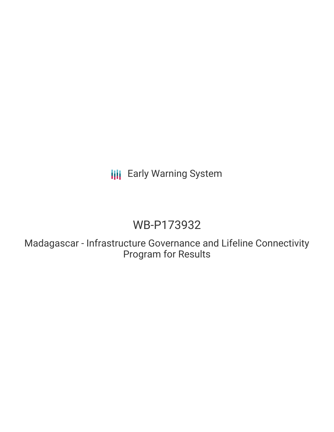# **III** Early Warning System

# WB-P173932

Madagascar - Infrastructure Governance and Lifeline Connectivity Program for Results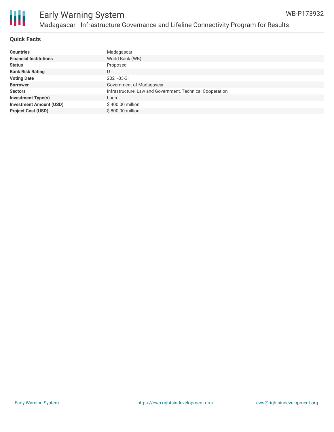

### **Quick Facts**

| <b>Countries</b>               | Madagascar                                                |
|--------------------------------|-----------------------------------------------------------|
| <b>Financial Institutions</b>  | World Bank (WB)                                           |
| <b>Status</b>                  | Proposed                                                  |
| <b>Bank Risk Rating</b>        | U                                                         |
| <b>Voting Date</b>             | 2021-03-31                                                |
| <b>Borrower</b>                | Government of Madagascar                                  |
| <b>Sectors</b>                 | Infrastructure, Law and Government, Technical Cooperation |
| <b>Investment Type(s)</b>      | Loan                                                      |
| <b>Investment Amount (USD)</b> | \$400.00 million                                          |
| <b>Project Cost (USD)</b>      | \$800.00 million                                          |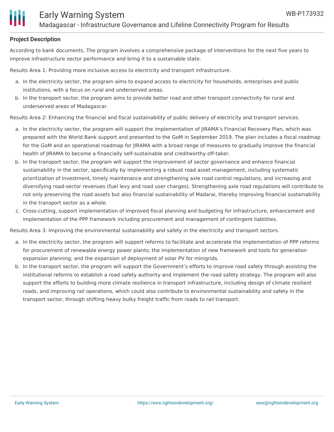

### **Project Description**

According to bank documents, The program involves a comprehensive package of interventions for the next five years to improve infrastructure sector performance and bring it to a sustainable state.

Results Area 1: Providing more inclusive access to electricity and transport infrastructure.

- a. In the electricity sector, the program aims to expand access to electricity for households, enterprises and public institutions, with a focus on rural and underserved areas.
- b. In the transport sector, the program aims to provide better road and other transport connectivity for rural and underserved areas of Madagascar.

Results Area 2: Enhancing the financial and fiscal sustainability of public delivery of electricity and transport services.

- a. In the electricity sector, the program will support the implementation of JIRAMA's Financial Recovery Plan, which was prepared with the World Bank support and presented to the GoM in September 2019. The plan includes a fiscal roadmap for the GoM and an operational roadmap for JIRAMA with a broad range of measures to gradually improve the financial health of JIRAMA to become a financially self-sustainable and creditworthy off-taker.
- b. In the transport sector, the program will support the improvement of sector governance and enhance financial sustainability in the sector, specifically by implementing a robust road asset management, including systematic prioritization of investment, timely maintenance and strengthening axle road control regulations, and increasing and diversifying road-sector revenues (fuel levy and road user charges). Strengthening axle road regulations will contribute to not only preserving the road assets but also financial sustainability of Madarai, thereby improving financial sustainability in the transport sector as a whole.
- c. Cross-cutting, support implementation of improved fiscal planning and budgeting for infrastructure, enhancement and implementation of the PPP framework including procurement and management of contingent liabilities.

Results Area 3: Improving the environmental sustainability and safety in the electricity and transport sectors.

- a. In the electricity sector, the program will support reforms to facilitate and accelerate the implementation of PPP reforms for procurement of renewable energy power plants; the implementation of new framework and tools for generation expansion planning; and the expansion of deployment of solar PV for minigrids.
- b. In the transport sector, the program will support the Government's efforts to improve road safety through assisting the institutional reforms to establish a road safety authority and implement the road safety strategy. The program will also support the efforts to building more climate resilience in transport infrastructure, including design of climate resilient roads, and improving rail operations, which could also contribute to environmental sustainability and safety in the transport sector, through shifting heavy bulky freight traffic from roads to rail transport.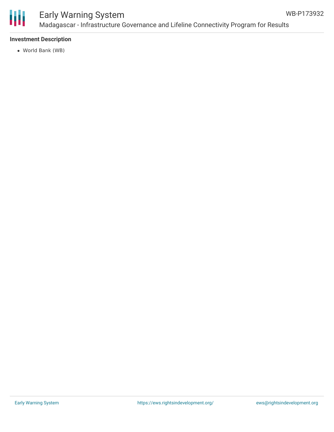

## Early Warning System Madagascar - Infrastructure Governance and Lifeline Connectivity Program for Results

### **Investment Description**

World Bank (WB)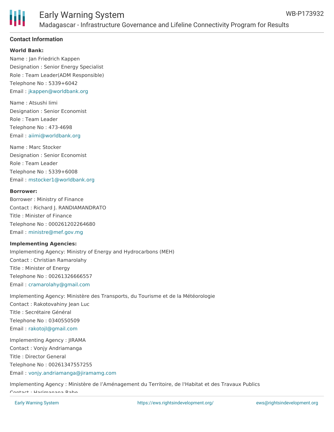

### **Contact Information**

**World Bank:** Name : Jan Friedrich Kappen Designation : Senior Energy Specialist Role : Team Leader(ADM Responsible) Telephone No : 5339+6042 Email : [jkappen@worldbank.org](mailto:jkappen@worldbank.org)

Name : Atsushi Iimi Designation : Senior Economist Role : Team Leader Telephone No : 473-4698 Email : [aiimi@worldbank.org](mailto:aiimi@worldbank.org)

Name : Marc Stocker Designation : Senior Economist Role : Team Leader Telephone No : 5339+6008 Email : [mstocker1@worldbank.org](mailto:mstocker1@worldbank.org)

#### **Borrower:**

Borrower : Ministry of Finance Contact : Richard J. RANDIAMANDRATO Title : Minister of Finance Telephone No : 000261202264680 Email : [ministre@mef.gov.mg](mailto:ministre@mef.gov.mg)

#### **Implementing Agencies:**

Implementing Agency: Ministry of Energy and Hydrocarbons (MEH) Contact : Christian Ramarolahy Title : Minister of Energy Telephone No : 00261326666557 Email : [cramarolahy@gmail.com](mailto:cramarolahy@gmail.com)

Implementing Agency: Ministère des Transports, du Tourisme et de la Météorologie Contact : Rakotovahiny Jean Luc Title : Secrétaire Général Telephone No : 0340550509 Email : [rakotojl@gmail.com](mailto:rakotojl@gmail.com)

Implementing Agency : JIRAMA Contact : Vonjy Andriamanga Title : Director General Telephone No : 00261347557255 Email : [vonjy.andriamanga@jiramamg.com](mailto:vonjy.andriamanga@jiramamg.com)

Implementing Agency : Ministère de l'Aménagement du Territoire, de l'Habitat et des Travaux Publics Contact : Harimanana Rabe